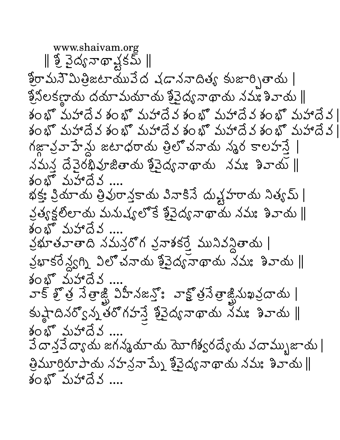www.shaivam.org || శ్రీ పైద్యనాథా క్షకమ్ ||  $\S$ రామనౌమిత్రిజటాయువేద వడాననాదిత్య కుజార్చితాయ |  $\frac{\alpha}{2}$ నీలకణ్ణాయ దయామయాయ శ్రీవైద్యనాథాయ నమః శివాయ  $\parallel$ శం భొమహాదేవ శం భొమహాదేవ శం భొమహాదేవ శం భొమహాదేవ ∣ కం భొ మహాదేవ కం భొ మహాదేవ కం భొ మహాదేవ కం భొ మహాదేవ | గజ్జావ్రవాహేన్లు జటాధరాయ త్రిలో చనాయ న్మర కాలహన్తే  $\Delta$ మన దేవైరథివూజితాయ శ్రీవైద్య నాథాయ నమః శివాయ  $\parallel$ శంభో మహాదేవ భక్తః ప్రియాయ త్రివురాన్తకాయ పినాకినే దుష్టహరాయ నిత్యమ్ | క్రత్యక్షలోలాదు మనుష్యలోకే శ్రీవైద్య నాథాయ నమః శివాయ || శంభోమహాదేవ వ్రభూతవాతాది నమన్తరోగ వ్రవాశకర్తే మునివన్ధితాయ | క్రభాకరే న్వగ్ని విలోచనాయ శ్రీవైద్య నాథాయ నమ: శివాయ || శంభో మహాదేవ వాక్ శ్రీ తే నేత్రాజ్ విహీనజన్తో వాక్టో త్రవేత్రాజ్లినుఖవ్రదాయ | కుష్ఠినర్విన్న తరోగహన్తే శ్రీవైద్య నాథాయ నేమః శివాయ || శంభో మహాదేవ .... వే దాన్తవే ద్యాయ జగన్మమాయ మోగిశ్వరద్యేయ వదామ్బుజాయ |  $\frac{3}{2}$ మూరిరూపాయ నహన్రనా ప్నే శ్రీవైద్య నాథాయ నమః శివాయ  $\parallel$ శంభో మహాదేవ ....